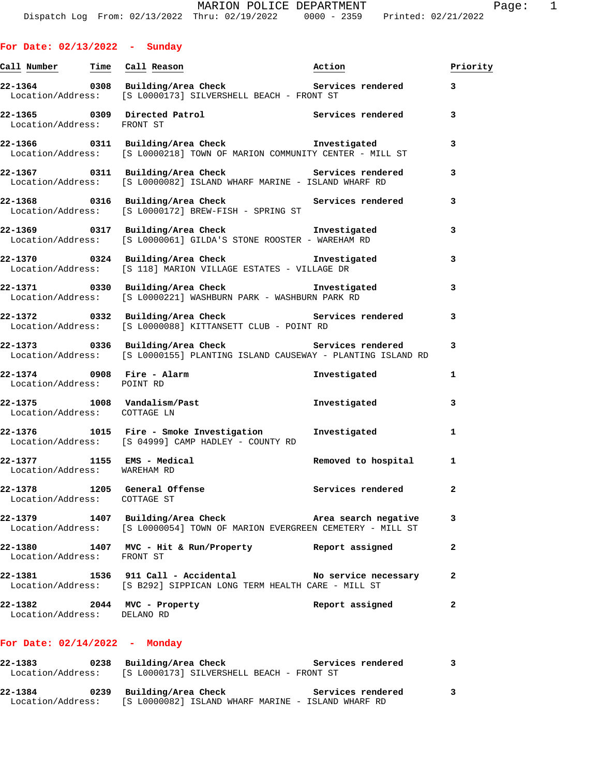| For Date: 02/13/2022 |  | Sunday |
|----------------------|--|--------|
|----------------------|--|--------|

| Call Number Time Call Reason                                 |                                                                                                                                    | Action            | Priority |
|--------------------------------------------------------------|------------------------------------------------------------------------------------------------------------------------------------|-------------------|----------|
|                                                              | 22-1364 0308 Building/Area Check 6 Services rendered<br>Location/Address: [S L0000173] SILVERSHELL BEACH - FRONT ST                |                   | 3        |
| Location/Address: FRONT ST                                   | 22-1365 0309 Directed Patrol 22-1365 ervices rendered                                                                              |                   | 3        |
|                                                              | 22-1366 0311 Building/Area Check Investigated<br>Location/Address: [S L0000218] TOWN OF MARION COMMUNITY CENTER - MILL ST          |                   | 3        |
|                                                              | 22-1367 0311 Building/Area Check Services rendered<br>Location/Address: [S L0000082] ISLAND WHARF MARINE - ISLAND WHARF RD         |                   | 3        |
|                                                              | 22-1368 0316 Building/Area Check Services rendered<br>Location/Address: [S L0000172] BREW-FISH - SPRING ST                         |                   | 3        |
|                                                              | 22-1369 0317 Building/Area Check Tnvestigated<br>Location/Address: [S L0000061] GILDA'S STONE ROOSTER - WAREHAM RD                 |                   | 3        |
|                                                              | 22-1370 0324 Building/Area Check <b>herea</b> Investigated<br>Location/Address: [S 118] MARION VILLAGE ESTATES - VILLAGE DR        |                   | 3        |
|                                                              | 22-1371 0330 Building/Area Check <b>Investigated</b><br>Location/Address: [S L0000221] WASHBURN PARK - WASHBURN PARK RD            |                   | 3        |
|                                                              | 22-1372 0332 Building/Area Check Services rendered<br>Location/Address: [S L0000088] KITTANSETT CLUB - POINT RD                    |                   | 3        |
|                                                              | 22-1373 0336 Building/Area Check Services rendered<br>Location/Address: [S L0000155] PLANTING ISLAND CAUSEWAY - PLANTING ISLAND RD |                   | 3        |
| Location/Address: POINT RD                                   | 22-1374 0908 Fire - Alarm                                                                                                          | Investigated      | 1        |
| Location/Address: COTTAGE LN                                 | 22-1375 1008 Vandalism/Past 1008 1nvestigated                                                                                      |                   | 3        |
|                                                              | 22-1376 1015 Fire - Smoke Investigation Investigated<br>Location/Address: [S 04999] CAMP HADLEY - COUNTY RD                        |                   | 1        |
|                                                              |                                                                                                                                    |                   | 1        |
| 22-1378 1205 General Offense<br>Location/Address: COTTAGE ST |                                                                                                                                    | Services rendered | 2        |
| 22-1379                                                      | 1407 Building/Area Check Marea search negative<br>Location/Address: [S L0000054] TOWN OF MARION EVERGREEN CEMETERY - MILL ST       |                   | 3        |
| Location/Address: FRONT ST                                   | 22-1380 1407 MVC - Hit & Run/Property                                                                                              | Report assigned   | 2        |
|                                                              | 22-1381 1536 911 Call - Accidental No service necessary<br>Location/Address: [S B292] SIPPICAN LONG TERM HEALTH CARE - MILL ST     |                   | 2        |
| 22-1382 2044 MVC - Property<br>Location/Address: DELANO RD   |                                                                                                                                    | Report assigned   | 2        |

### **For Date: 02/14/2022 - Monday**

| 22-1383           | 0238 Building/Area Check                  | Services rendered |              |
|-------------------|-------------------------------------------|-------------------|--------------|
| Location/Address: | [S L0000173] SILVERSHELL BEACH - FRONT ST |                   |              |
|                   |                                           |                   |              |
|                   |                                           |                   |              |
| 22-1384           | 0239 Building/Area Check                  | Services rendered | $\mathbf{3}$ |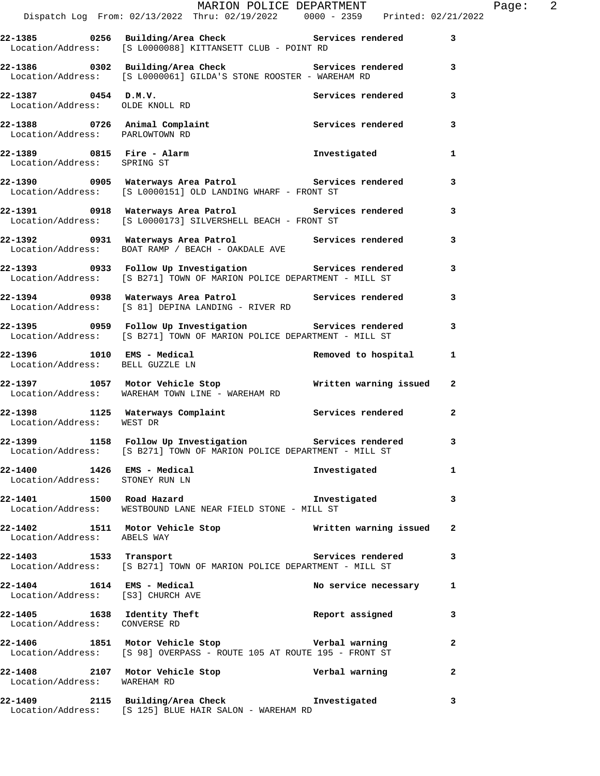|                                                                 | Dispatch Log From: 02/13/2022 Thru: 02/19/2022 0000 - 2359 Printed: 02/21/2022                                                    | MARION POLICE DEPARTMENT | Page: 2      |
|-----------------------------------------------------------------|-----------------------------------------------------------------------------------------------------------------------------------|--------------------------|--------------|
|                                                                 | 22-1385 0256 Building/Area Check 6 Services rendered 3                                                                            |                          |              |
|                                                                 | Location/Address: [S L0000088] KITTANSETT CLUB - POINT RD                                                                         |                          |              |
|                                                                 | 22-1386 0302 Building/Area Check 6 Services rendered 3<br>Location/Address: [S L0000061] GILDA'S STONE ROOSTER - WAREHAM RD       |                          |              |
|                                                                 | 22-1387 0454 D.M.V.<br>Location/Address: OLDE KNOLL RD                                                                            | Services rendered 3      |              |
| Location/Address: PARLOWTOWN RD                                 | 22-1388 0726 Animal Complaint Services rendered 3                                                                                 |                          |              |
| Location/Address: SPRING ST                                     | $22-1389$ 0815 Fire - Alarm                                                                                                       | Investigated             | $\mathbf{1}$ |
|                                                                 | 22-1390 		 0905 Waterways Area Patrol 		 Services rendered<br>Location/Address: [S L0000151] OLD LANDING WHARF - FRONT ST         |                          | 3            |
|                                                                 | 22-1391 0918 Waterways Area Patrol Services rendered 3<br>Location/Address: [S L0000173] SILVERSHELL BEACH - FRONT ST             |                          |              |
|                                                                 | 22-1392 0931 Waterways Area Patrol Nervices rendered<br>Location/Address: BOAT RAMP / BEACH - OAKDALE AVE                         |                          | 3            |
|                                                                 | 22-1393 0933 Follow Up Investigation Services rendered 3<br>Location/Address: [S B271] TOWN OF MARION POLICE DEPARTMENT - MILL ST |                          |              |
|                                                                 | 22-1394 		 0938 Waterways Area Patrol 		 Services rendered<br>Location/Address: [S 81] DEPINA LANDING - RIVER RD                  |                          | 3            |
|                                                                 | 22-1395 0959 Follow Up Investigation Services rendered 3<br>Location/Address: [S B271] TOWN OF MARION POLICE DEPARTMENT - MILL ST |                          |              |
| Location/Address: BELL GUZZLE LN                                | 22-1396 1010 EMS - Medical 1 22-1396 Removed to hospital 1                                                                        |                          |              |
|                                                                 | 22-1397 1057 Motor Vehicle Stop 10 Written warning issued 2<br>Location/Address: WAREHAM TOWN LINE - WAREHAM RD                   |                          |              |
| Location/Address: WEST DR                                       | 22-1398 1125 Waterways Complaint 1997 Services rendered 2                                                                         |                          |              |
|                                                                 | 22-1399 1158 Follow Up Investigation Services rendered<br>Location/Address: [S B271] TOWN OF MARION POLICE DEPARTMENT - MILL ST   |                          | 3            |
| 22-1400   1426 EMS - Medical<br>Location/Address: STONEY RUN LN |                                                                                                                                   | Investigated             | $\mathbf{1}$ |
|                                                                 | 22-1401 1500 Road Hazard 1988 and the Investigated<br>Location/Address: WESTBOUND LANE NEAR FIELD STONE - MILL ST                 |                          | 3            |
| Location/Address: ABELS WAY                                     | 22-1402 1511 Motor Vehicle Stop Nritten warning issued                                                                            |                          | $\mathbf{2}$ |
|                                                                 | 22-1403 1533 Transport Services rendered<br>Location/Address: [S B271] TOWN OF MARION POLICE DEPARTMENT - MILL ST                 |                          | 3            |
| Location/Address: [S3] CHURCH AVE                               | 22-1404 1614 EMS - Medical 1997 No service necessary                                                                              |                          | $\mathbf{1}$ |
| Location/Address: CONVERSE RD                                   | 22-1405 1638 Identity Theft 1997 Report assigned                                                                                  |                          | 3            |
|                                                                 | 22-1406 1851 Motor Vehicle Stop Verbal warning<br>Location/Address: [S 98] OVERPASS - ROUTE 105 AT ROUTE 195 - FRONT ST           |                          | $\mathbf{2}$ |
| Location/Address: WAREHAM RD                                    | 22-1408 2107 Motor Vehicle Stop Nerbal warning                                                                                    |                          | $\mathbf{2}$ |
|                                                                 |                                                                                                                                   |                          | 3            |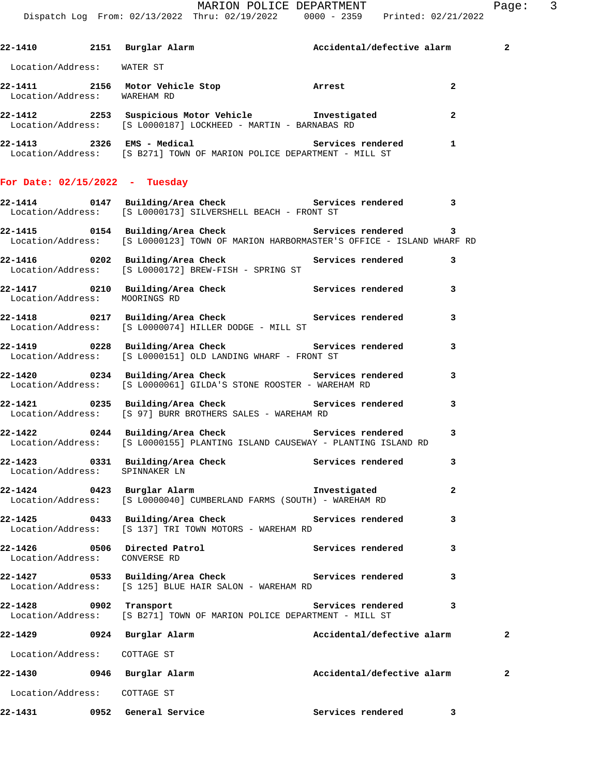|         |                               | 22-1410 2151 Burglar Alarm (Accidental/defective alarm                                                                                             |                            |                | $\overline{\mathbf{2}}$ |
|---------|-------------------------------|----------------------------------------------------------------------------------------------------------------------------------------------------|----------------------------|----------------|-------------------------|
|         | Location/Address: WATER ST    |                                                                                                                                                    |                            |                |                         |
|         | Location/Address: WAREHAM RD  | 22-1411 2156 Motor Vehicle Stop <b>Arrest</b>                                                                                                      |                            | $\overline{a}$ |                         |
|         |                               | 22-1412 2253 Suspicious Motor Vehicle Threstigated<br>Location/Address: [S L0000187] LOCKHEED - MARTIN - BARNABAS RD                               |                            | $\overline{2}$ |                         |
|         |                               | 22-1413 2326 EMS - Medical 22-1413<br>Location/Address: [S B271] TOWN OF MARION POLICE DEPARTMENT - MILL ST                                        |                            | $\mathbf{1}$   |                         |
|         |                               | For Date: $02/15/2022 - Tuesday$                                                                                                                   |                            |                |                         |
|         |                               | 22-1414 0147 Building/Area Check Services rendered 3<br>Location/Address: [S L0000173] SILVERSHELL BEACH - FRONT ST                                |                            |                |                         |
|         |                               | 22-1415 0154 Building/Area Check 6 Services rendered 3<br>Location/Address: [S L0000123] TOWN OF MARION HARBORMASTER'S OFFICE - ISLAND WHARF RD    |                            |                |                         |
|         |                               | 22-1416 		 0202 Building/Area Check 		 Services rendered 3<br>Location/Address: [S L0000172] BREW-FISH - SPRING ST                                 |                            |                |                         |
|         | Location/Address: MOORINGS RD | 22-1417 		 0210 Building/Area Check 		 Services rendered                                                                                           |                            | 3              |                         |
|         |                               | 22-1418 		 0217 Building/Area Check 		 Services rendered<br>Location/Address: [S L0000074] HILLER DODGE - MILL ST                                  |                            | 3              |                         |
|         |                               | 22-1419 		 0228 Building/Area Check 		 Services rendered<br>Location/Address: [S L0000151] OLD LANDING WHARF - FRONT ST                            |                            | 3              |                         |
|         |                               | 22-1420 0234 Building/Area Check Services rendered<br>Location/Address: [S L0000061] GILDA'S STONE ROOSTER - WAREHAM RD                            |                            | 3              |                         |
|         |                               | 22-1421 0235 Building/Area Check Services rendered<br>Location/Address: [S 97] BURR BROTHERS SALES - WAREHAM RD                                    |                            | 3              |                         |
|         |                               | 22-1422       0244  Building/Area Check          Services rendered<br>Location/Address: [S L0000155] PLANTING ISLAND CAUSEWAY - PLANTING ISLAND RD |                            | 3              |                         |
|         |                               | 22-1423 0331 Building/Area Check Services rendered<br>Location/Address: SPINNAKER LN                                                               |                            | 3              |                         |
|         |                               | 22-1424 0423 Burglar Alarm New Investigated<br>Location/Address: [S L0000040] CUMBERLAND FARMS (SOUTH) - WAREHAM RD                                |                            | 2              |                         |
|         |                               | 22-1425 		 0433 Building/Area Check 		 Services rendered<br>Location/Address: [S 137] TRI TOWN MOTORS - WAREHAM RD                                 |                            | 3              |                         |
|         | Location/Address: CONVERSE RD | 22-1426 0506 Directed Patrol                                                                                                                       | Services rendered          | 3              |                         |
|         |                               | 22-1427 		 0533 Building/Area Check 		 Services rendered<br>Location/Address: [S 125] BLUE HAIR SALON - WAREHAM RD                                 |                            | 3              |                         |
|         | 22-1428 0902 Transport        | Location/Address: [S B271] TOWN OF MARION POLICE DEPARTMENT - MILL ST                                                                              | Services rendered          | 3              |                         |
|         |                               | 22-1429 0924 Burglar Alarm                                                                                                                         | Accidental/defective alarm |                | 2                       |
|         | Location/Address: COTTAGE ST  |                                                                                                                                                    |                            |                |                         |
|         |                               | 22-1430 0946 Burglar Alarm                                                                                                                         | Accidental/defective alarm |                | 2                       |
|         | Location/Address: COTTAGE ST  |                                                                                                                                                    |                            |                |                         |
| 22-1431 |                               | 0952 General Service                                                                                                                               | Services rendered          | $\mathbf{3}$   |                         |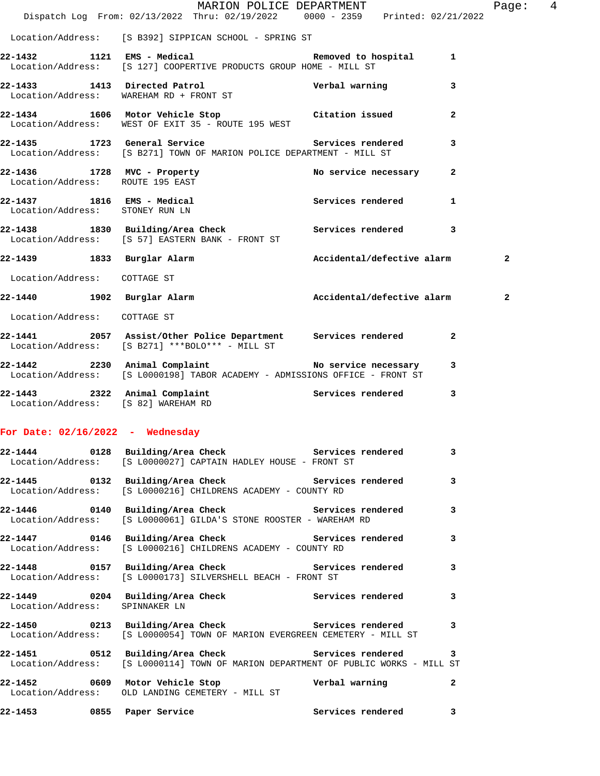|                                     | $\verb+MARION POLICE DEPARTMENT\nDispatch Log From: 02/13/2022 Thru: 02/19/2022 0000 - 2359 Printed: 02/21/2022$                           |                            |                | Page: 4        |  |
|-------------------------------------|--------------------------------------------------------------------------------------------------------------------------------------------|----------------------------|----------------|----------------|--|
|                                     | Location/Address: [S B392] SIPPICAN SCHOOL - SPRING ST                                                                                     |                            |                |                |  |
|                                     |                                                                                                                                            |                            |                |                |  |
|                                     | 22-1432 1121 EMS - Medical 1 Removed to hospital 1<br>Location/Address: [S 127] COOPERTIVE PRODUCTS GROUP HOME - MILL ST                   |                            |                |                |  |
|                                     | 22-1433 1413 Directed Patrol Nerbal warning<br>Location/Address: WAREHAM RD + FRONT ST                                                     |                            | 3              |                |  |
|                                     | 22-1434 1606 Motor Vehicle Stop Citation issued<br>Location/Address: WEST OF EXIT 35 - ROUTE 195 WEST                                      |                            | $\overline{a}$ |                |  |
|                                     | 22-1435 1723 General Service 20 Services rendered<br>Location/Address: [S B271] TOWN OF MARION POLICE DEPARTMENT - MILL ST                 |                            | 3              |                |  |
| Location/Address: ROUTE 195 EAST    | 22-1436 1728 MVC - Property                                                                                                                | No service necessary       | $\mathbf{2}$   |                |  |
|                                     | 22-1437 1816 EMS - Medical<br>Location/Address: STONEY RUN LN                                                                              | Services rendered          | $\mathbf{1}$   |                |  |
|                                     | 22-1438 1830 Building/Area Check 5ervices rendered<br>Location/Address: [S 57] EASTERN BANK - FRONT ST                                     |                            | 3              |                |  |
|                                     | 22-1439 1833 Burglar Alarm 1997 Accidental/defective alarm                                                                                 |                            |                | $\overline{a}$ |  |
| Location/Address: COTTAGE ST        |                                                                                                                                            |                            |                |                |  |
|                                     | 22-1440 1902 Burglar Alarm                                                                                                                 | Accidental/defective alarm |                | $\mathbf{2}$   |  |
| Location/Address: COTTAGE ST        |                                                                                                                                            |                            |                |                |  |
|                                     | 22-1441 2057 Assist/Other Police Department Services rendered<br>Location/Address: [S B271] ***BOLO*** - MILL ST                           |                            | 2              |                |  |
|                                     | 22-1442 2230 Animal Complaint<br>Location/Address: [S L0000198] TABOR ACADEMY - ADMISSIONS OFFICE - FRONT ST                               |                            | 3              |                |  |
| Location/Address: [S 82] WAREHAM RD | 22-1443 2322 Animal Complaint Complaint Services rendered                                                                                  |                            | 3              |                |  |
| For Date: $02/16/2022 -$ Wednesday  |                                                                                                                                            |                            |                |                |  |
|                                     | 22-1444  0128 Building/Area Check  Services rendered  3<br>Location/Address: [S L0000027] CAPTAIN HADLEY HOUSE - FRONT ST                  |                            |                |                |  |
|                                     | 22-1445 			 0132 Building/Area Check 				 Services rendered 3<br>Location/Address: [S L0000216] CHILDRENS ACADEMY - COUNTY RD              |                            |                |                |  |
|                                     | 22-1446 			 0140 Building/Area Check 					 Services rendered 		 3<br>Location/Address: [S L0000061] GILDA'S STONE ROOSTER - WAREHAM RD     |                            |                |                |  |
|                                     | 22-1447 		 0146 Building/Area Check 		 Services rendered 3<br>Location/Address: [S L0000216] CHILDRENS ACADEMY - COUNTY RD                 |                            |                |                |  |
|                                     | 22-1448 0157 Building/Area Check 5ervices rendered 3<br>Location/Address: [S L0000173] SILVERSHELL BEACH - FRONT ST                        |                            |                |                |  |
| Location/Address: SPINNAKER LN      | 22-1449 		 0204 Building/Area Check 		 Services rendered                                                                                   |                            | 3              |                |  |
|                                     | 22-1450 0213 Building/Area Check Services rendered<br>Location/Address: [S L0000054] TOWN OF MARION EVERGREEN CEMETERY - MILL ST           |                            | 3              |                |  |
|                                     | 22-1451 0512 Building/Area Check Services rendered 3<br>Location/Address: [S L0000114] TOWN OF MARION DEPARTMENT OF PUBLIC WORKS - MILL ST |                            |                |                |  |
|                                     | Location/Address: OLD LANDING CEMETERY - MILL ST                                                                                           |                            | 2              |                |  |
| 22-1453                             | 0855 Paper Service                                                                                                                         | Services rendered          | 3              |                |  |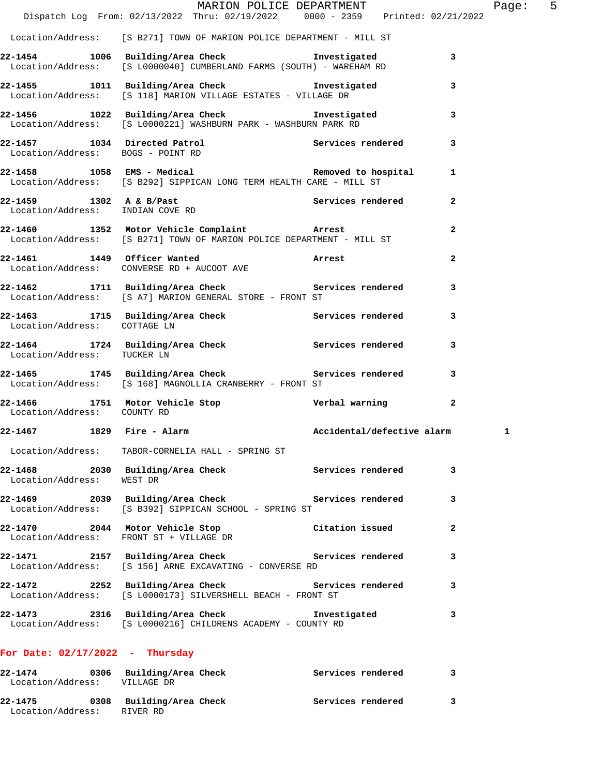|                                   |                                                                                                                         | MARION POLICE DEPARTMENT   |                | Page: 5 |  |
|-----------------------------------|-------------------------------------------------------------------------------------------------------------------------|----------------------------|----------------|---------|--|
|                                   | Dispatch Log From: 02/13/2022 Thru: 02/19/2022 0000 - 2359 Printed: 02/21/2022                                          |                            |                |         |  |
|                                   | Location/Address: [S B271] TOWN OF MARION POLICE DEPARTMENT - MILL ST                                                   |                            |                |         |  |
|                                   | 22-1454 1006 Building/Area Check 1nvestigated 3<br>Location/Address: [S L0000040] CUMBERLAND FARMS (SOUTH) - WAREHAM RD |                            |                |         |  |
|                                   | 22-1455 1011 Building/Area Check 1nvestigated<br>Location/Address: [S 118] MARION VILLAGE ESTATES - VILLAGE DR          |                            | 3              |         |  |
|                                   | 22-1456 1022 Building/Area Check 1nvestigated 3<br>Location/Address: [S L0000221] WASHBURN PARK - WASHBURN PARK RD      |                            |                |         |  |
| Location/Address: BOGS - POINT RD | 22-1457 1034 Directed Patrol 22-1457 Services rendered                                                                  |                            | 3              |         |  |
|                                   | 22-1458 1058 EMS - Medical Nemoved to hospital<br>Location/Address: [S B292] SIPPICAN LONG TERM HEALTH CARE - MILL ST   |                            | -1             |         |  |
|                                   | 22-1459 1302 A & B/Past Services rendered 2<br>Location/Address: INDIAN COVE RD                                         |                            |                |         |  |
|                                   | 22-1460 1352 Motor Vehicle Complaint Arrest<br>Location/Address: [S B271] TOWN OF MARION POLICE DEPARTMENT - MILL ST    |                            | $\mathbf{2}$   |         |  |
|                                   | 22-1461 1449 Officer Wanted<br>Location/Address: CONVERSE RD + AUCOOT AVE                                               |                            | $\overline{2}$ |         |  |
|                                   | 22-1462 1711 Building/Area Check Services rendered<br>Location/Address: [S A7] MARION GENERAL STORE - FRONT ST          |                            | 3              |         |  |
| Location/Address: COTTAGE LN      | 22-1463 1715 Building/Area Check Services rendered 3                                                                    |                            |                |         |  |
| Location/Address: TUCKER LN       | 22-1464 1724 Building/Area Check Services rendered                                                                      |                            | 3              |         |  |
|                                   | 22-1465 1745 Building/Area Check Services rendered 3<br>Location/Address: [S 168] MAGNOLLIA CRANBERRY - FRONT ST        |                            |                |         |  |
| Location/Address: COUNTY RD       | 22-1466 1751 Motor Vehicle Stop Nerbal warning                                                                          |                            | $\mathbf{2}$   |         |  |
| 22-1467 1829 Fire - Alarm         |                                                                                                                         | Accidental/defective alarm |                | 1       |  |
|                                   | Location/Address: TABOR-CORNELIA HALL - SPRING ST                                                                       |                            |                |         |  |
| Location/Address:                 | 22-1468 2030 Building/Area Check Services rendered<br>WEST DR                                                           |                            | 3              |         |  |
|                                   | 22-1469 2039 Building/Area Check Services rendered<br>Location/Address: [S B392] SIPPICAN SCHOOL - SPRING ST            |                            | 3              |         |  |
|                                   | 22-1470 2044 Motor Vehicle Stop<br>Location/Address: FRONT ST + VILLAGE DR                                              | Citation issued            | 2              |         |  |
|                                   | 22-1471 2157 Building/Area Check Services rendered<br>Location/Address: [S 156] ARNE EXCAVATING - CONVERSE RD           |                            | 3              |         |  |
|                                   | 22-1472 2252 Building/Area Check Services rendered<br>Location/Address: [S L0000173] SILVERSHELL BEACH - FRONT ST       |                            | 3              |         |  |
|                                   | 22-1473 2316 Building/Area Check<br>Location/Address: [S L0000216] CHILDRENS ACADEMY - COUNTY RD                        | Investigated               | 3              |         |  |
|                                   |                                                                                                                         |                            |                |         |  |

## **For Date: 02/17/2022 - Thursday**

| 22-1474<br>Location/Address: | 0306 Building/Area Check<br>VILLAGE DR | Services rendered |  |
|------------------------------|----------------------------------------|-------------------|--|
| 22-1475<br>Location/Address: | 0308 Building/Area Check<br>RIVER RD   | Services rendered |  |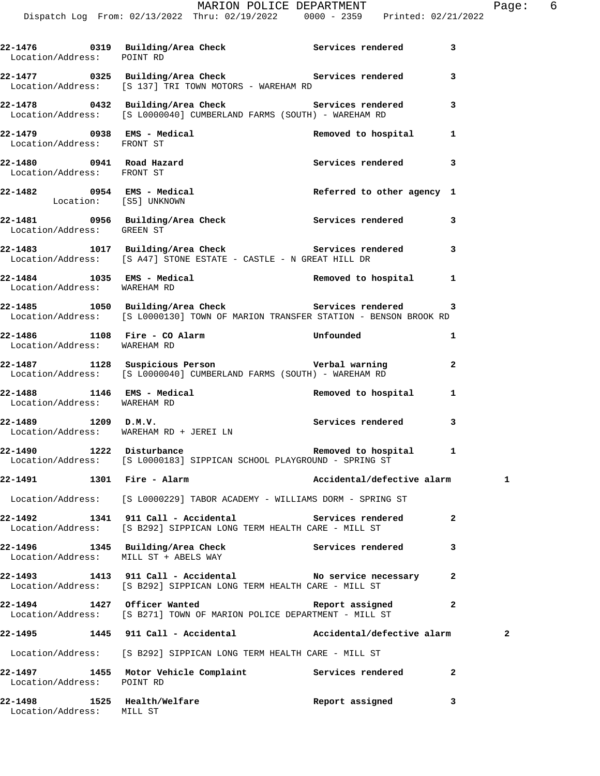| Location/Address: POINT RD   |                                                                                                                                    |                            | 3            |
|------------------------------|------------------------------------------------------------------------------------------------------------------------------------|----------------------------|--------------|
|                              | 22-1477 0325 Building/Area Check 5ervices rendered<br>Location/Address: [S 137] TRI TOWN MOTORS - WAREHAM RD                       |                            | 3            |
|                              | 22-1478 		 0432 Building/Area Check 		 Services rendered<br>Location/Address: [S L0000040] CUMBERLAND FARMS (SOUTH) - WAREHAM RD   |                            | 3            |
| Location/Address: FRONT ST   | $22-1479$ 0938 EMS - Medical                                                                                                       | Removed to hospital 1      |              |
| Location/Address: FRONT ST   |                                                                                                                                    |                            | 3            |
| Location: [S5] UNKNOWN       | 22-1482 		 0954 EMS - Medical 		 Referred to other agency 1                                                                        |                            |              |
| Location/Address: GREEN ST   | 22-1481 0956 Building/Area Check Services rendered                                                                                 |                            | 3            |
|                              | 22-1483 1017 Building/Area Check 1997 Services rendered 3<br>Location/Address: [S A47] STONE ESTATE - CASTLE - N GREAT HILL DR     |                            |              |
| Location/Address: WAREHAM RD | 22-1484 1035 EMS - Medical                                                                                                         | Removed to hospital 1      |              |
|                              | Location/Address: [S L0000130] TOWN OF MARION TRANSFER STATION - BENSON BROOK RD                                                   |                            |              |
| Location/Address: WAREHAM RD | 22-1486 1108 Fire - CO Alarm Communication Unfounded                                                                               |                            | 1            |
|                              | Location/Address: [S L0000040] CUMBERLAND FARMS (SOUTH) - WAREHAM RD                                                               |                            | $\mathbf{2}$ |
| Location/Address: WAREHAM RD | 22-1488 1146 EMS - Medical 1 22-1488 22-1488 1                                                                                     |                            |              |
|                              | Location/Address: WAREHAM RD + JEREI LN                                                                                            |                            | 3            |
|                              | 22-1490 1222 Disturbance <b>120 Removed</b> to hospital 1<br>Location/Address: [S L0000183] SIPPICAN SCHOOL PLAYGROUND - SPRING ST |                            |              |
|                              | 22-1491 1301 Fire - Alarm                                                                                                          | Accidental/defective alarm | 1            |
|                              | Location/Address: [S L0000229] TABOR ACADEMY - WILLIAMS DORM - SPRING ST                                                           |                            |              |
|                              | 22-1492 1341 911 Call - Accidental Services rendered<br>Location/Address: [S B292] SIPPICAN LONG TERM HEALTH CARE - MILL ST        |                            | $\mathbf{2}$ |
|                              | 22-1496 1345 Building/Area Check Services rendered<br>Location/Address: MILL ST + ABELS WAY                                        |                            | 3            |
|                              | 22-1493 1413 911 Call - Accidental No service necessary 2<br>Location/Address: [S B292] SIPPICAN LONG TERM HEALTH CARE - MILL ST   |                            |              |
|                              | 22-1494 1427 Officer Wanted Neport assigned<br>Location/Address: [S B271] TOWN OF MARION POLICE DEPARTMENT - MILL ST               |                            | $\mathbf{2}$ |
|                              | 22-1495 1445 911 Call - Accidental Maccidental/defective alarm                                                                     |                            | 2            |
|                              | Location/Address: [S B292] SIPPICAN LONG TERM HEALTH CARE - MILL ST                                                                |                            |              |
| Location/Address: POINT RD   | 22-1497 1455 Motor Vehicle Complaint Services rendered                                                                             |                            | 2            |
| Location/Address: MILL ST    | 22-1498 1525 Health/Welfare                                                                                                        | Report assigned            | 3            |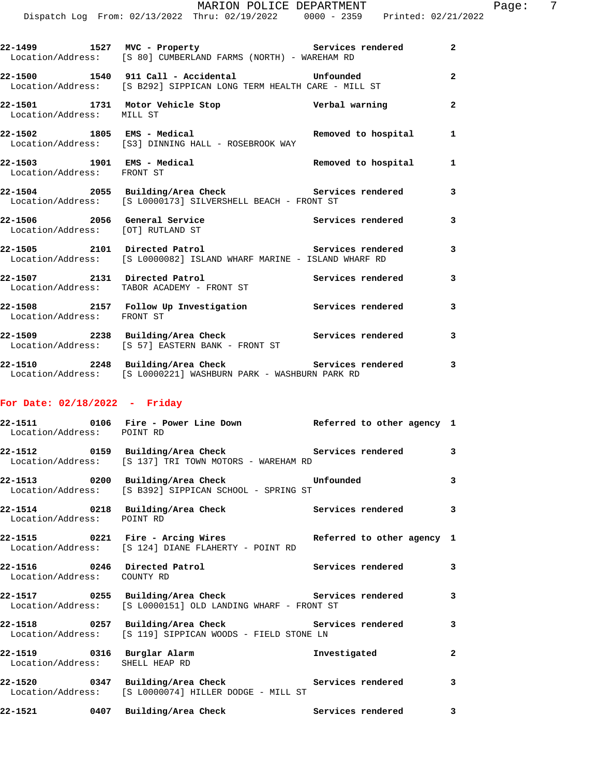| 22–1499<br>1527                                              | MVC - Property<br>Location/Address: [S 80] CUMBERLAND FARMS (NORTH) - WAREHAM RD                  | Services rendered                                                                                               | $\overline{2}$ |
|--------------------------------------------------------------|---------------------------------------------------------------------------------------------------|-----------------------------------------------------------------------------------------------------------------|----------------|
| 22-1500                                                      | 1540 911 Call - Accidental<br>Location/Address: [S B292] SIPPICAN LONG TERM HEALTH CARE - MILL ST | Unfounded                                                                                                       | 2              |
| 22-1501 1731 Motor Vehicle Stop<br>Location/Address: MILL ST |                                                                                                   | Verbal warning                                                                                                  | 2              |
| 22-1502 1805                                                 | EMS - Medical<br>Location/Address: [S3] DINNING HALL - ROSEBROOK WAY                              | Removed to hospital                                                                                             | $\mathbf{1}$   |
| 22-1503<br>1901<br>Location/Address: FRONT ST                | EMS - Medical                                                                                     | Removed to hospital                                                                                             | 1              |
|                                                              |                                                                                                   | the contract of the contract of the contract of the contract of the contract of the contract of the contract of |                |

**22-1504 2055 Building/Area Check Services rendered 3**  Location/Address: [S L0000173] SILVERSHELL BEACH - FRONT ST

**22-1506 2056 General Service Services rendered 3**  Location/Address: [OT] RUTLAND ST

**22-1505 2101 Directed Patrol Services rendered 3**  Location/Address: [S L0000082] ISLAND WHARF MARINE - ISLAND WHARF RD

**22-1507 2131 Directed Patrol Services rendered 3**  Location/Address: TABOR ACADEMY - FRONT ST

**22-1508 2157 Follow Up Investigation Services rendered 3**  Location/Address: FRONT ST **22-1509 2238 Building/Area Check Services rendered 3** 

 Location/Address: [S 57] EASTERN BANK - FRONT ST **22-1510 2248 Building/Area Check Services rendered 3**  Location/Address: [S L0000221] WASHBURN PARK - WASHBURN PARK RD

#### **For Date: 02/18/2022 - Friday**

| Location/Address: POINT RD  | 22-1511 0106 Fire - Power Line Down Neferred to other agency 1                                                                  |              |                         |
|-----------------------------|---------------------------------------------------------------------------------------------------------------------------------|--------------|-------------------------|
|                             | 22-1512 		 0159 Building/Area Check 		 Services rendered<br>Location/Address: [S 137] TRI TOWN MOTORS - WAREHAM RD              |              | $\overline{\mathbf{3}}$ |
|                             | 22-1513 0200 Building/Area Check <b>1998</b> Unfounded<br>Location/Address: [S B392] SIPPICAN SCHOOL - SPRING ST                |              | $\overline{\mathbf{3}}$ |
| Location/Address: POINT RD  | 22-1514 		 0218 Building/Area Check 		 Services rendered 3                                                                      |              |                         |
|                             | 22-1515 0221 Fire - Arcing Wires Referred to other agency 1<br>Location/Address: [S 124] DIANE FLAHERTY - POINT RD              |              |                         |
| Location/Address: COUNTY RD |                                                                                                                                 |              |                         |
|                             | 22-1517 0255 Building/Area Check Services rendered<br>Location/Address: [S L0000151] OLD LANDING WHARF - FRONT ST               |              | $\mathbf{3}$            |
|                             | 22-1518       0257  Building/Area Check          Services rendered<br>Location/Address: [S 119] SIPPICAN WOODS - FIELD STONE LN |              | $\overline{\mathbf{3}}$ |
|                             | 22-1519 0316 Burglar Alarm<br>Location/Address: SHELL HEAP RD                                                                   | Investigated | $\overline{a}$          |
|                             | 22-1520 0347 Building/Area Check Services rendered<br>Location/Address: [S L0000074] HILLER DODGE - MILL ST                     |              | $\mathbf{3}$            |
|                             | 22-1521 0407 Building/Area Check 5ervices rendered                                                                              |              | 3                       |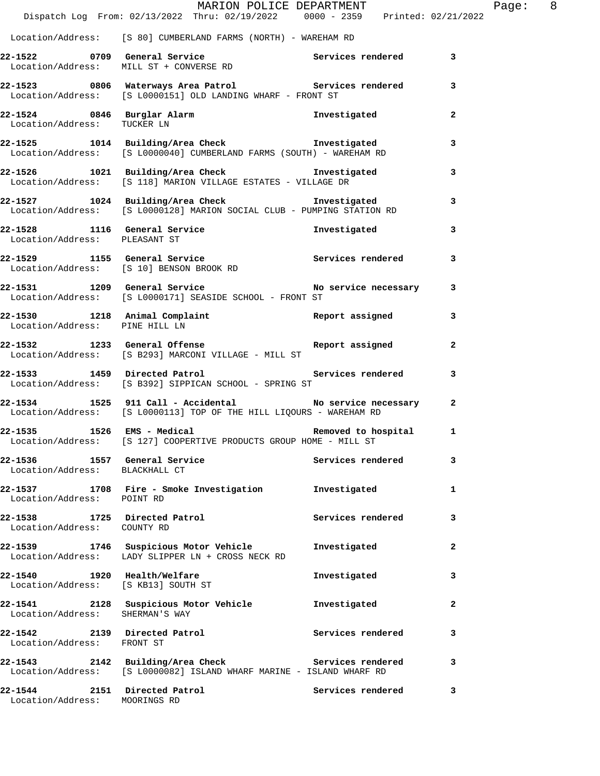|                                                                    | MARION POLICE DEPARTMENT<br>Dispatch Log From: 02/13/2022 Thru: 02/19/2022 0000 - 2359 Printed: 02/21/2022                             |                       |                | Page: 8 |  |
|--------------------------------------------------------------------|----------------------------------------------------------------------------------------------------------------------------------------|-----------------------|----------------|---------|--|
|                                                                    | Location/Address: [S 80] CUMBERLAND FARMS (NORTH) - WAREHAM RD                                                                         |                       |                |         |  |
|                                                                    | 22-1522 0709 General Service Services Services rendered 3<br>Location/Address: MILL ST + CONVERSE RD                                   |                       |                |         |  |
|                                                                    | 22-1523 0806 Waterways Area Patrol Services rendered 3<br>Location/Address: [S L0000151] OLD LANDING WHARF - FRONT ST                  |                       |                |         |  |
|                                                                    | 22-1524 0846 Burglar Alarm 12-1524 1111-124 1112 1120 122-1524 122-1524 122-1524 122-1524 122-1524 122-1524 1                          |                       | $\mathbf{2}$   |         |  |
|                                                                    | 22-1525 1014 Building/Area Check Investigated<br>Location/Address: [S L0000040] CUMBERLAND FARMS (SOUTH) - WAREHAM RD                  |                       | 3              |         |  |
|                                                                    | 22-1526 1021 Building/Area Check Investigated 1021 2011 1021 15<br>Location/Address: [S 118] MARION VILLAGE ESTATES - VILLAGE DR       |                       |                |         |  |
|                                                                    | 22-1527 1024 Building/Area Check Investigated Investigated 3<br>Location/Address: [S L0000128] MARION SOCIAL CLUB - PUMPING STATION RD |                       |                |         |  |
| Location/Address: PLEASANT ST                                      | 22-1528 1116 General Service                                                                                                           | Investigated          | 3              |         |  |
|                                                                    | 22-1529 1155 General Service Services rendered 3<br>Location/Address: [S 10] BENSON BROOK RD                                           |                       |                |         |  |
|                                                                    | 22-1531 1209 General Service No service necessary 3<br>Location/Address: [S L0000171] SEASIDE SCHOOL - FRONT ST                        |                       |                |         |  |
|                                                                    | 22-1530 1218 Animal Complaint Report assigned 3<br>Location/Address: PINE HILL LN                                                      |                       |                |         |  |
|                                                                    | Location/Address: [S B293] MARCONI VILLAGE - MILL ST                                                                                   |                       | $\mathbf{2}$   |         |  |
|                                                                    | 22-1533 1459 Directed Patrol 22-1533 1459 2012 1459 2012<br>Location/Address: [S B392] SIPPICAN SCHOOL - SPRING ST                     |                       |                |         |  |
|                                                                    | 22-1534 1525 911 Call - Accidental No service necessary 2<br>Location/Address: [S L0000113] TOP OF THE HILL LIQOURS - WAREHAM RD       |                       |                |         |  |
|                                                                    | 22-1535 1526 EMS - Medical<br>Location/Address: [S 127] COOPERTIVE PRODUCTS GROUP HOME - MILL ST                                       | Removed to hospital 1 |                |         |  |
| Location/Address: BLACKHALL CT                                     | 22-1536 1557 General Service                                                                                                           | Services rendered     | 3              |         |  |
|                                                                    | 22-1537 1708 Fire - Smoke Investigation 1nvestigated<br>Location/Address: POINTRD                                                      |                       | 1              |         |  |
| 22-1538 1725 Directed Patrol<br>Location/Address: COUNTY RD        |                                                                                                                                        | Services rendered     | 3              |         |  |
|                                                                    | 22-1539 1746 Suspicious Motor Vehicle<br>Location/Address: LADY SLIPPER LN + CROSS NECK RD                                             | Investigated          | $\overline{a}$ |         |  |
| 22-1540 1920 Health/Welfare<br>Location/Address: [S KB13] SOUTH ST |                                                                                                                                        | Investigated          | 3              |         |  |
| Location/Address: SHERMAN'S WAY                                    | 22-1541 2128 Suspicious Motor Vehicle Chronestigated                                                                                   |                       | $\mathbf{2}$   |         |  |
| Location/Address: FRONT ST                                         | 22-1542 2139 Directed Patrol                                                                                                           | Services rendered     | 3              |         |  |
|                                                                    | 22-1543 2142 Building/Area Check Services rendered<br>Location/Address: [S L0000082] ISLAND WHARF MARINE - ISLAND WHARF RD             |                       | 3              |         |  |
| Location/Address: MOORINGS RD                                      | 22-1544 2151 Directed Patrol                                                                                                           | Services rendered     | 3              |         |  |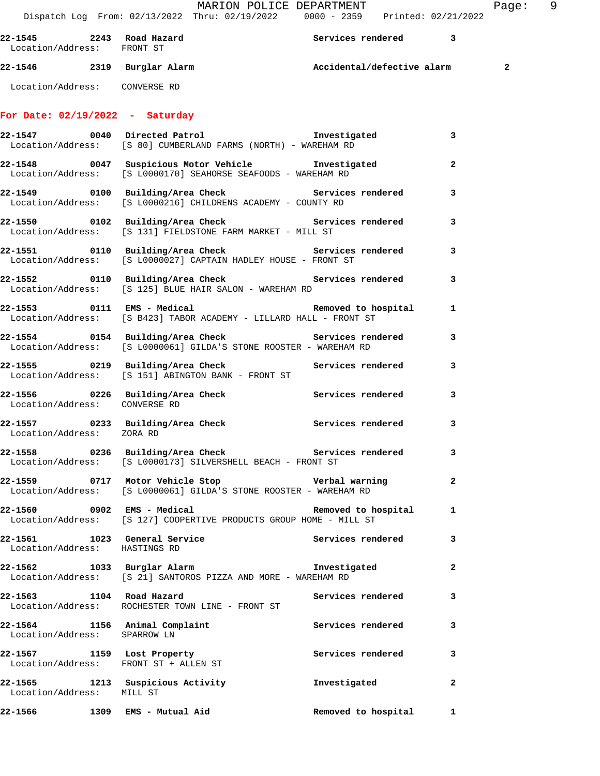MARION POLICE DEPARTMENT Fage: 9

Dispatch Log From: 02/13/2022 Thru: 02/19/2022 0000 - 2359 Printed: 02/21/2022

| 22-1545<br>Location/Address: | 2243 | Road Hazard<br>FRONT ST | Services rendered          |   |
|------------------------------|------|-------------------------|----------------------------|---|
| 22-1546                      | 2319 | Burglar Alarm           | Accidental/defective alarm | 2 |

# Location/Address: CONVERSE RD

## **For Date: 02/19/2022 - Saturday**

|                                                                     | 22-1547 0040 Directed Patrol <b>120 million provides to the USA</b><br>Location/Address: [S 80] CUMBERLAND FARMS (NORTH) - WAREHAM RD |                     | $\mathbf{3}$   |
|---------------------------------------------------------------------|---------------------------------------------------------------------------------------------------------------------------------------|---------------------|----------------|
|                                                                     | 22-1548 0047 Suspicious Motor Vehicle Investigated<br>Location/Address: [S L0000170] SEAHORSE SEAFOODS - WAREHAM RD                   |                     | $\mathbf{2}$   |
|                                                                     | 22-1549 0100 Building/Area Check 6 Services rendered 3<br>Location/Address: [S L0000216] CHILDRENS ACADEMY - COUNTY RD                |                     |                |
|                                                                     | 22-1550 0102 Building/Area Check Services rendered 3<br>Location/Address: [S 131] FIELDSTONE FARM MARKET - MILL ST                    |                     |                |
|                                                                     | 22-1551 0110 Building/Area Check 6 Services rendered 3<br>Location/Address: [S L0000027] CAPTAIN HADLEY HOUSE - FRONT ST              |                     |                |
|                                                                     | 22-1552 0110 Building/Area Check 5ervices rendered 3<br>Location/Address: [S 125] BLUE HAIR SALON - WAREHAM RD                        |                     |                |
|                                                                     | 22-1553 0111 EMS - Medical and Removed to hospital<br>  Location/Address: [S B423] TABOR ACADEMY - LILLARD HALL - FRONT ST            |                     | $\mathbf{1}$   |
|                                                                     | 22-1554 0154 Building/Area Check 5ervices rendered 3<br>Location/Address: [S L0000061] GILDA'S STONE ROOSTER - WAREHAM RD             |                     |                |
|                                                                     | 22-1555 0219 Building/Area Check Services rendered<br>Location/Address: [S 151] ABINGTON BANK - FRONT ST                              |                     | 3              |
| Location/Address: CONVERSE RD                                       | 22-1556 0226 Building/Area Check 5ervices rendered 3                                                                                  |                     |                |
| Location/Address: ZORA RD                                           | 22-1557 0233 Building/Area Check Services rendered                                                                                    |                     | 3              |
|                                                                     | Location/Address: [S L0000173] SILVERSHELL BEACH - FRONT ST                                                                           |                     |                |
|                                                                     | 22-1559 0717 Motor Vehicle Stop Verbal warning<br>Location/Address: [S L0000061] GILDA'S STONE ROOSTER - WAREHAM RD                   |                     | $\overline{a}$ |
|                                                                     | Location/Address: [S 127] COOPERTIVE PRODUCTS GROUP HOME - MILL ST                                                                    |                     |                |
| Location/Address: HASTINGS RD                                       | 22-1561 1023 General Service 3 Services rendered 3                                                                                    |                     |                |
|                                                                     | 22-1562 1033 Burglar Alarm<br>Location/Address: [S 21] SANTOROS PIZZA AND MORE - WAREHAM RD                                           | Investigated        |                |
| 22-1563 1104 Road Hazard                                            | Location/Address: ROCHESTER TOWN LINE - FRONT ST                                                                                      | Services rendered   | 3              |
| 22-1564 1156 Animal Complaint<br>Location/Address: SPARROW LN       |                                                                                                                                       | Services rendered   | 3              |
| 22-1567 1159 Lost Property<br>Location/Address: FRONT ST + ALLEN ST |                                                                                                                                       | Services rendered   | 3              |
| 22-1565 1213 Suspicious Activity<br>Location/Address: MILL ST       |                                                                                                                                       | Investigated        | $\mathbf{2}$   |
| 22-1566                                                             | 1309 EMS - Mutual Aid                                                                                                                 | Removed to hospital | 1              |